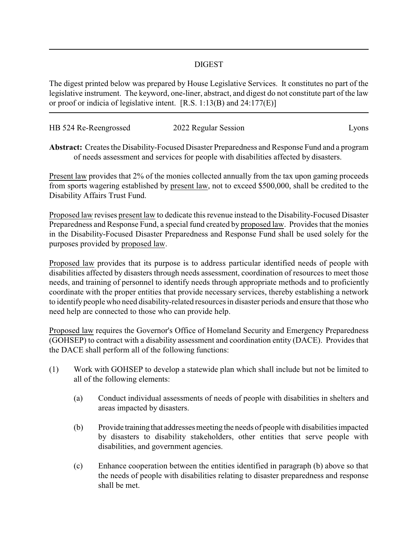## DIGEST

The digest printed below was prepared by House Legislative Services. It constitutes no part of the legislative instrument. The keyword, one-liner, abstract, and digest do not constitute part of the law or proof or indicia of legislative intent. [R.S. 1:13(B) and 24:177(E)]

| HB 524 Re-Reengrossed | 2022 Regular Session | Lyons |
|-----------------------|----------------------|-------|
|                       |                      |       |

**Abstract:** Creates the Disability-Focused Disaster Preparedness and Response Fund and a program of needs assessment and services for people with disabilities affected by disasters.

Present law provides that 2% of the monies collected annually from the tax upon gaming proceeds from sports wagering established by present law, not to exceed \$500,000, shall be credited to the Disability Affairs Trust Fund.

Proposed law revises present law to dedicate this revenue instead to the Disability-Focused Disaster Preparedness and Response Fund, a special fund created by proposed law. Provides that the monies in the Disability-Focused Disaster Preparedness and Response Fund shall be used solely for the purposes provided by proposed law.

Proposed law provides that its purpose is to address particular identified needs of people with disabilities affected by disasters through needs assessment, coordination of resources to meet those needs, and training of personnel to identify needs through appropriate methods and to proficiently coordinate with the proper entities that provide necessary services, thereby establishing a network to identify people who need disability-related resources in disaster periods and ensure that those who need help are connected to those who can provide help.

Proposed law requires the Governor's Office of Homeland Security and Emergency Preparedness (GOHSEP) to contract with a disability assessment and coordination entity (DACE). Provides that the DACE shall perform all of the following functions:

- (1) Work with GOHSEP to develop a statewide plan which shall include but not be limited to all of the following elements:
	- (a) Conduct individual assessments of needs of people with disabilities in shelters and areas impacted by disasters.
	- (b) Provide training that addresses meeting the needs of people with disabilities impacted by disasters to disability stakeholders, other entities that serve people with disabilities, and government agencies.
	- (c) Enhance cooperation between the entities identified in paragraph (b) above so that the needs of people with disabilities relating to disaster preparedness and response shall be met.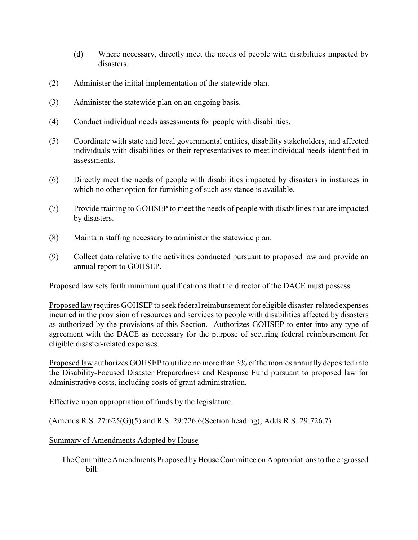- (d) Where necessary, directly meet the needs of people with disabilities impacted by disasters.
- (2) Administer the initial implementation of the statewide plan.
- (3) Administer the statewide plan on an ongoing basis.
- (4) Conduct individual needs assessments for people with disabilities.
- (5) Coordinate with state and local governmental entities, disability stakeholders, and affected individuals with disabilities or their representatives to meet individual needs identified in assessments.
- (6) Directly meet the needs of people with disabilities impacted by disasters in instances in which no other option for furnishing of such assistance is available.
- (7) Provide training to GOHSEP to meet the needs of people with disabilities that are impacted by disasters.
- (8) Maintain staffing necessary to administer the statewide plan.
- (9) Collect data relative to the activities conducted pursuant to proposed law and provide an annual report to GOHSEP.

Proposed law sets forth minimum qualifications that the director of the DACE must possess.

Proposed law requires GOHSEP to seek federal reimbursement for eligible disaster-related expenses incurred in the provision of resources and services to people with disabilities affected by disasters as authorized by the provisions of this Section. Authorizes GOHSEP to enter into any type of agreement with the DACE as necessary for the purpose of securing federal reimbursement for eligible disaster-related expenses.

Proposed law authorizes GOHSEP to utilize no more than 3% of the monies annually deposited into the Disability-Focused Disaster Preparedness and Response Fund pursuant to proposed law for administrative costs, including costs of grant administration.

Effective upon appropriation of funds by the legislature.

(Amends R.S. 27:625(G)(5) and R.S. 29:726.6(Section heading); Adds R.S. 29:726.7)

## Summary of Amendments Adopted by House

The Committee Amendments Proposed by House Committee on Appropriations to the engrossed bill: